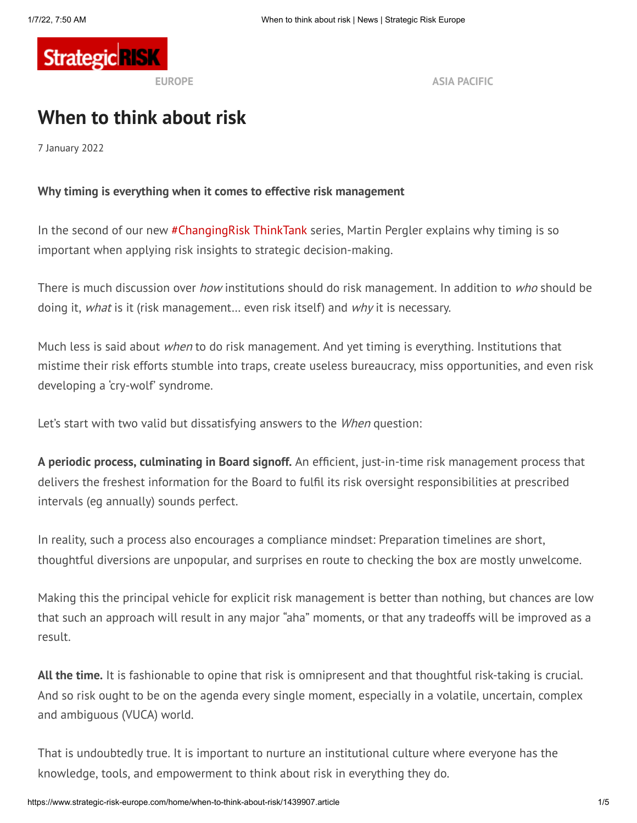

**EUROPE ASIA [PACIFIC](https://www.strategicrisk-asiapacific.com/)**

# **When to think about risk**

7 January 2022

#### **Why timing is everything when it comes to effective risk management**

In the second of our new [#ChangingRisk](https://www.strategic-risk-europe.com/changingrisk) ThinkTank series, Martin Pergler explains why timing is so important when applying risk insights to strategic decision-making.

There is much discussion over *how* institutions should do risk management. In addition to *who* should be doing it, *what* is it (risk management... even risk itself) and *why* it is necessary.

Much less is said about when to do risk management. And yet timing is everything. Institutions that mistime their risk efforts stumble into traps, create useless bureaucracy, miss opportunities, and even risk developing a 'cry-wolf' syndrome.

Let's start with two valid but dissatisfying answers to the *When* question:

**A periodic process, culminating in Board signoff.** An efficient, just-in-time risk management process that delivers the freshest information for the Board to fulfil its risk oversight responsibilities at prescribed intervals (eg annually) sounds perfect.

In reality, such a process also encourages a compliance mindset: Preparation timelines are short, thoughtful diversions are unpopular, and surprises en route to checking the box are mostly unwelcome.

Making this the principal vehicle for explicit risk management is better than nothing, but chances are low that such an approach will result in any major "aha" moments, or that any tradeoffs will be improved as a result.

**All the time.** It is fashionable to opine that risk is omnipresent and that thoughtful risk-taking is crucial. And so risk ought to be on the agenda every single moment, especially in a volatile, uncertain, complex and ambiguous (VUCA) world.

That is undoubtedly true. It is important to nurture an institutional culture where everyone has the knowledge, tools, and empowerment to think about risk in everything they do.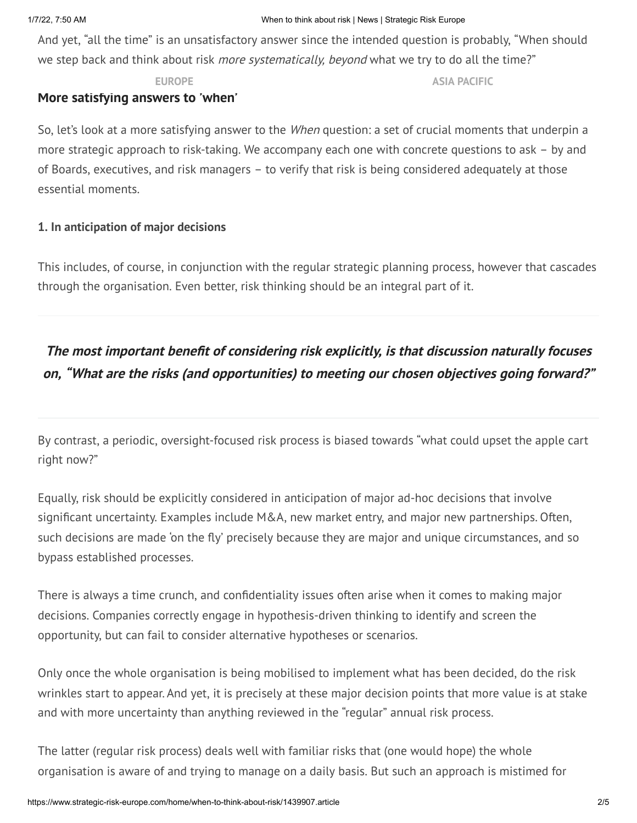And yet, "all the time" is an unsatisfactory answer since the intended question is probably, "When should we step back and think about risk *more systematically, beyond* what we try to do all the time?"

**EUROPE ASIA [PACIFIC](https://www.strategicrisk-asiapacific.com/)**

#### **More satisfying answers to 'when'**

So, let's look at a more satisfying answer to the *When* question: a set of crucial moments that underpin a more strategic approach to risk-taking. We accompany each one with concrete questions to ask – by and of Boards, executives, and risk managers – to verify that risk is being considered adequately at those essential moments.

#### **1. In anticipation of major decisions**

This includes, of course, in conjunction with the regular strategic planning process, however that cascades through the organisation. Even better, risk thinking should be an integral part of it.

# **The most important benefit of considering risk explicitly, is that discussion naturally focuses on, "What are the risks (and opportunities) to meeting our chosen objectives going forward?"**

By contrast, a periodic, oversight-focused risk process is biased towards "what could upset the apple cart right now?"

Equally, risk should be explicitly considered in anticipation of major ad-hoc decisions that involve significant uncertainty. Examples include M&A, new market entry, and major new partnerships. Often, such decisions are made 'on the fly' precisely because they are major and unique circumstances, and so bypass established processes.

There is always a time crunch, and confidentiality issues often arise when it comes to making major decisions. Companies correctly engage in hypothesis-driven thinking to identify and screen the opportunity, but can fail to consider alternative hypotheses or scenarios.

Only once the whole organisation is being mobilised to implement what has been decided, do the risk wrinkles start to appear. And yet, it is precisely at these major decision points that more value is at stake and with more uncertainty than anything reviewed in the "regular" annual risk process.

The latter (regular risk process) deals well with familiar risks that (one would hope) the whole organisation is aware of and trying to manage on a daily basis. But such an approach is mistimed for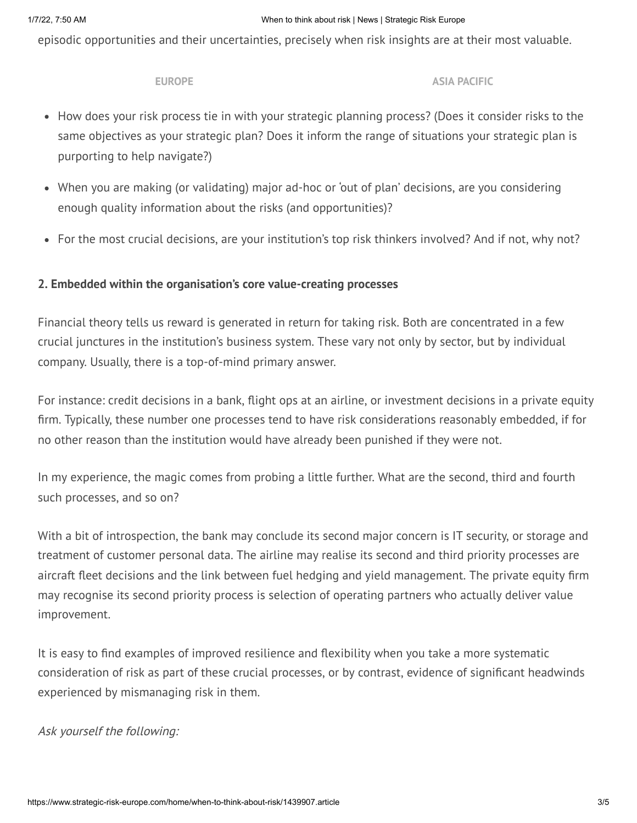episodic opportunities and their uncertainties, precisely when risk insights are at their most valuable.

#### **EUROPE**

**ASIA [PACIFIC](https://www.strategicrisk-asiapacific.com/)** 

- How does your risk process tie in with your strategic planning process? (Does it consider risks to the same objectives as your strategic plan? Does it inform the range of situations your strategic plan is purporting to help navigate?)
- When you are making (or validating) major ad-hoc or 'out of plan' decisions, are you considering enough quality information about the risks (and opportunities)?
- For the most crucial decisions, are your institution's top risk thinkers involved? And if not, why not?

## **2. Embedded within the organisation's core value-creating processes**

Financial theory tells us reward is generated in return for taking risk. Both are concentrated in a few crucial junctures in the institution's business system. These vary not only by sector, but by individual company. Usually, there is a top-of-mind primary answer.

For instance: credit decisions in a bank, flight ops at an airline, or investment decisions in a private equity firm. Typically, these number one processes tend to have risk considerations reasonably embedded, if for no other reason than the institution would have already been punished if they were not.

In my experience, the magic comes from probing a little further. What are the second, third and fourth such processes, and so on?

With a bit of introspection, the bank may conclude its second major concern is IT security, or storage and treatment of customer personal data. The airline may realise its second and third priority processes are aircraft fleet decisions and the link between fuel hedging and yield management. The private equity firm may recognise its second priority process is selection of operating partners who actually deliver value improvement.

It is easy to find examples of improved resilience and flexibility when you take a more systematic consideration of risk as part of these crucial processes, or by contrast, evidence of significant headwinds experienced by mismanaging risk in them.

## Ask yourself the following: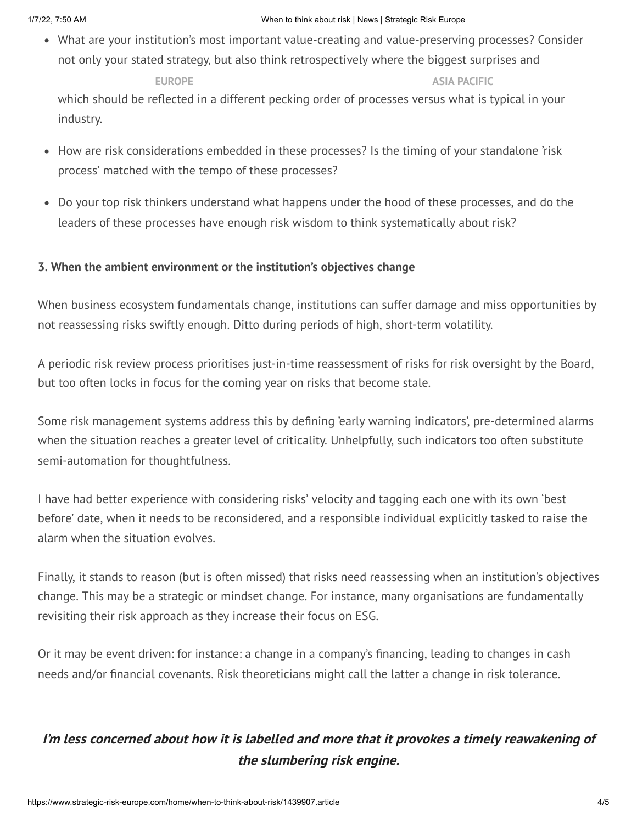#### 1/7/22, 7:50 AM When to think about risk | News | Strategic Risk Europe

What are your institution's most important value-creating and value-preserving processes? Consider not only your stated strategy, but also think retrospectively where the biggest surprises and

opportunities have actually arisen in recent years. In recent years, including years, including to [competitors,](https://www.strategicrisk-asiapacific.com/)  $\overline{a}$ which should be reflected in a different pecking order of processes versus what is typical in your industry. **EUROPE ASIA PACIFIC**

- How are risk considerations embedded in these processes? Is the timing of your standalone 'risk process' matched with the tempo of these processes?
- Do your top risk thinkers understand what happens under the hood of these processes, and do the leaders of these processes have enough risk wisdom to think systematically about risk?

## **3. When the ambient environment or the institution's objectives change**

When business ecosystem fundamentals change, institutions can suffer damage and miss opportunities by not reassessing risks swiftly enough. Ditto during periods of high, short-term volatility.

A periodic risk review process prioritises just-in-time reassessment of risks for risk oversight by the Board, but too often locks in focus for the coming year on risks that become stale.

Some risk management systems address this by defining 'early warning indicators', pre-determined alarms when the situation reaches a greater level of criticality. Unhelpfully, such indicators too often substitute semi-automation for thoughtfulness.

I have had better experience with considering risks' velocity and tagging each one with its own 'best before' date, when it needs to be reconsidered, and a responsible individual explicitly tasked to raise the alarm when the situation evolves.

Finally, it stands to reason (but is often missed) that risks need reassessing when an institution's objectives change. This may be a strategic or mindset change. For instance, many organisations are fundamentally revisiting their risk approach as they increase their focus on ESG.

Or it may be event driven: for instance: a change in a company's financing, leading to changes in cash needs and/or financial covenants. Risk theoreticians might call the latter a change in risk tolerance.

## **I'm less concerned about how it is labelled and more that it provokes <sup>a</sup> timely reawakening of the slumbering risk engine.**